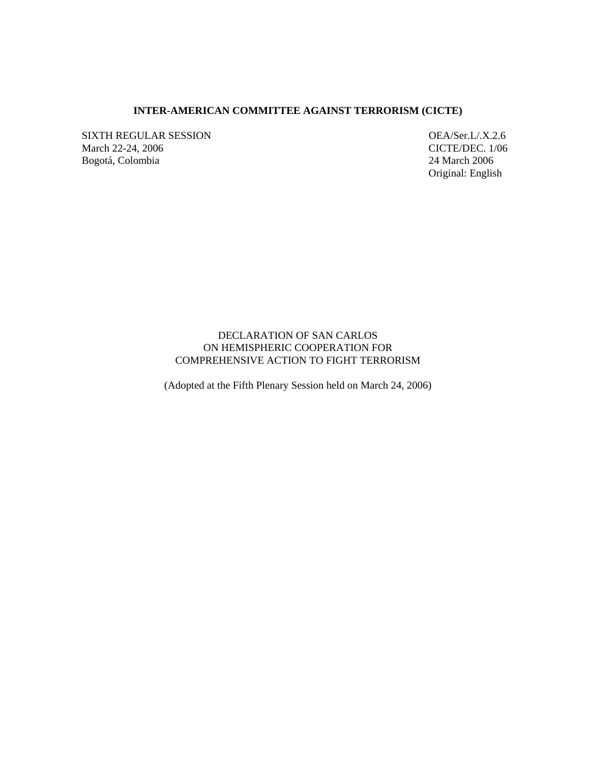### **INTER-AMERICAN COMMITTEE AGAINST TERRORISM (CICTE)**

SIXTH REGULAR SESSION OEA/Ser.L/.X.2.6 March 22-24, 2006 CICTE/DEC. 1/06 Bogotá, Colombia 24 March 2006

Original: English

# DECLARATION OF SAN CARLOS ON HEMISPHERIC COOPERATION FOR COMPREHENSIVE ACTION TO FIGHT TERRORISM

(Adopted at the Fifth Plenary Session held on March 24, 2006)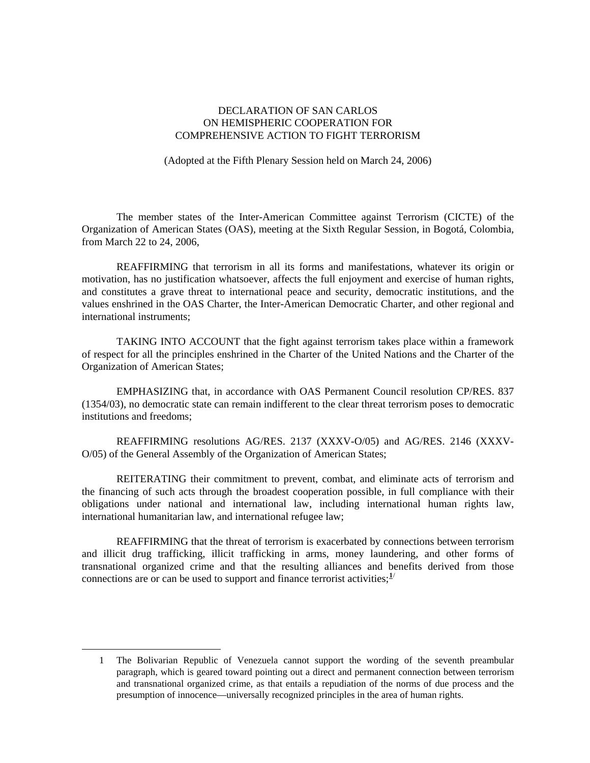# DECLARATION OF SAN CARLOS ON HEMISPHERIC COOPERATION FOR COMPREHENSIVE ACTION TO FIGHT TERRORISM

(Adopted at the Fifth Plenary Session held on March 24, 2006)

 The member states of the Inter-American Committee against Terrorism (CICTE) of the Organization of American States (OAS), meeting at the Sixth Regular Session, in Bogotá, Colombia, from March 22 to 24, 2006,

 REAFFIRMING that terrorism in all its forms and manifestations, whatever its origin or motivation, has no justification whatsoever, affects the full enjoyment and exercise of human rights, and constitutes a grave threat to international peace and security, democratic institutions, and the values enshrined in the OAS Charter, the Inter-American Democratic Charter, and other regional and international instruments;

 TAKING INTO ACCOUNT that the fight against terrorism takes place within a framework of respect for all the principles enshrined in the Charter of the United Nations and the Charter of the Organization of American States;

 EMPHASIZING that, in accordance with OAS Permanent Council resolution CP/RES. 837 (1354/03), no democratic state can remain indifferent to the clear threat terrorism poses to democratic institutions and freedoms;

 REAFFIRMING resolutions AG/RES. 2137 (XXXV-O/05) and AG/RES. 2146 (XXXV-O/05) of the General Assembly of the Organization of American States;

 REITERATING their commitment to prevent, combat, and eliminate acts of terrorism and the financing of such acts through the broadest cooperation possible, in full compliance with their obligations under national and international law, including international human rights law, international humanitarian law, and international refugee law;

 REAFFIRMING that the threat of terrorism is exacerbated by connections between terrorism and illicit drug trafficking, illicit trafficking in arms, money laundering, and other forms of transnational organized crime and that the resulting alliances and benefits derived from those connections are or can be used to support and finance terrorist activities;  $\frac{1}{1}$  $\frac{1}{1}$  $\frac{1}{1}$ 

<span id="page-1-0"></span><sup>1</sup> The Bolivarian Republic of Venezuela cannot support the wording of the seventh preambular paragraph, which is geared toward pointing out a direct and permanent connection between terrorism and transnational organized crime, as that entails a repudiation of the norms of due process and the presumption of innocence—universally recognized principles in the area of human rights.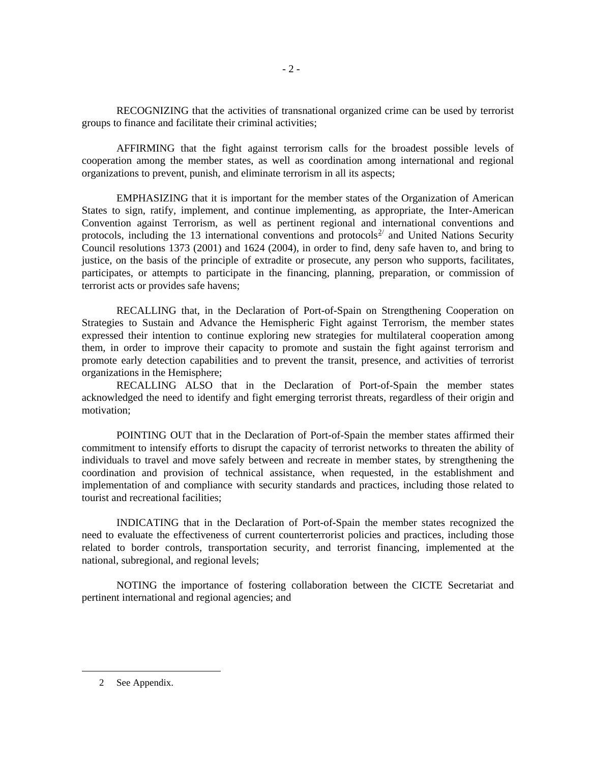RECOGNIZING that the activities of transnational organized crime can be used by terrorist groups to finance and facilitate their criminal activities;

 AFFIRMING that the fight against terrorism calls for the broadest possible levels of cooperation among the member states, as well as coordination among international and regional organizations to prevent, punish, and eliminate terrorism in all its aspects;

 EMPHASIZING that it is important for the member states of the Organization of American States to sign, ratify, implement, and continue implementing, as appropriate, the Inter-American Convention against Terrorism, as well as pertinent regional and international conventions and protocols, including the 13 international conventions and protocols<sup>[2](#page-2-0)/</sup> and United Nations Security Council resolutions 1373 (2001) and 1624 (2004), in order to find, deny safe haven to, and bring to justice, on the basis of the principle of extradite or prosecute, any person who supports, facilitates, participates, or attempts to participate in the financing, planning, preparation, or commission of terrorist acts or provides safe havens;

 RECALLING that, in the Declaration of Port-of-Spain on Strengthening Cooperation on Strategies to Sustain and Advance the Hemispheric Fight against Terrorism, the member states expressed their intention to continue exploring new strategies for multilateral cooperation among them, in order to improve their capacity to promote and sustain the fight against terrorism and promote early detection capabilities and to prevent the transit, presence, and activities of terrorist organizations in the Hemisphere;

 RECALLING ALSO that in the Declaration of Port-of-Spain the member states acknowledged the need to identify and fight emerging terrorist threats, regardless of their origin and motivation;

 POINTING OUT that in the Declaration of Port-of-Spain the member states affirmed their commitment to intensify efforts to disrupt the capacity of terrorist networks to threaten the ability of individuals to travel and move safely between and recreate in member states, by strengthening the coordination and provision of technical assistance, when requested, in the establishment and implementation of and compliance with security standards and practices, including those related to tourist and recreational facilities;

 INDICATING that in the Declaration of Port-of-Spain the member states recognized the need to evaluate the effectiveness of current counterterrorist policies and practices, including those related to border controls, transportation security, and terrorist financing, implemented at the national, subregional, and regional levels;

 NOTING the importance of fostering collaboration between the CICTE Secretariat and pertinent international and regional agencies; and

<span id="page-2-0"></span>2 See Appendix.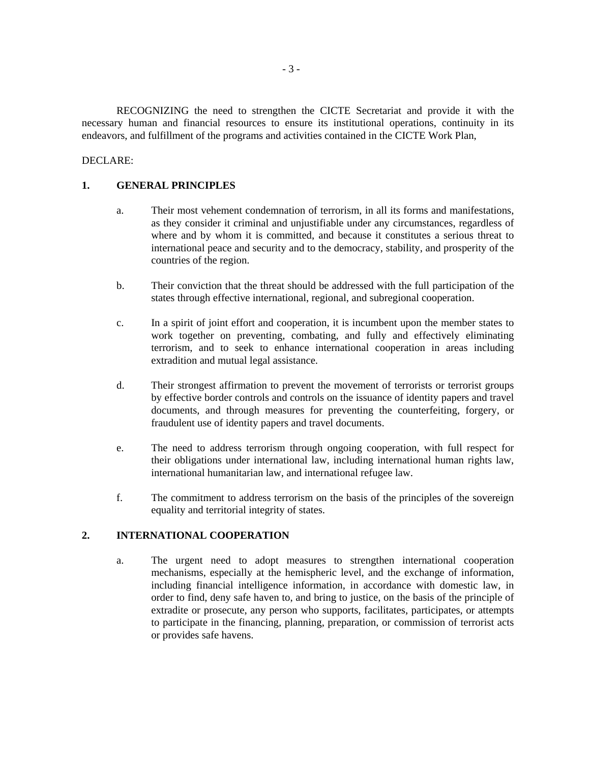RECOGNIZING the need to strengthen the CICTE Secretariat and provide it with the necessary human and financial resources to ensure its institutional operations, continuity in its endeavors, and fulfillment of the programs and activities contained in the CICTE Work Plan,

#### DECLARE:

### **1. GENERAL PRINCIPLES**

- a. Their most vehement condemnation of terrorism, in all its forms and manifestations, as they consider it criminal and unjustifiable under any circumstances, regardless of where and by whom it is committed, and because it constitutes a serious threat to international peace and security and to the democracy, stability, and prosperity of the countries of the region.
- b. Their conviction that the threat should be addressed with the full participation of the states through effective international, regional, and subregional cooperation.
- c. In a spirit of joint effort and cooperation, it is incumbent upon the member states to work together on preventing, combating, and fully and effectively eliminating terrorism, and to seek to enhance international cooperation in areas including extradition and mutual legal assistance.
- d. Their strongest affirmation to prevent the movement of terrorists or terrorist groups by effective border controls and controls on the issuance of identity papers and travel documents, and through measures for preventing the counterfeiting, forgery, or fraudulent use of identity papers and travel documents.
- e. The need to address terrorism through ongoing cooperation, with full respect for their obligations under international law, including international human rights law, international humanitarian law, and international refugee law.
- f. The commitment to address terrorism on the basis of the principles of the sovereign equality and territorial integrity of states.

### **2. INTERNATIONAL COOPERATION**

a. The urgent need to adopt measures to strengthen international cooperation mechanisms, especially at the hemispheric level, and the exchange of information, including financial intelligence information, in accordance with domestic law, in order to find, deny safe haven to, and bring to justice, on the basis of the principle of extradite or prosecute, any person who supports, facilitates, participates, or attempts to participate in the financing, planning, preparation, or commission of terrorist acts or provides safe havens.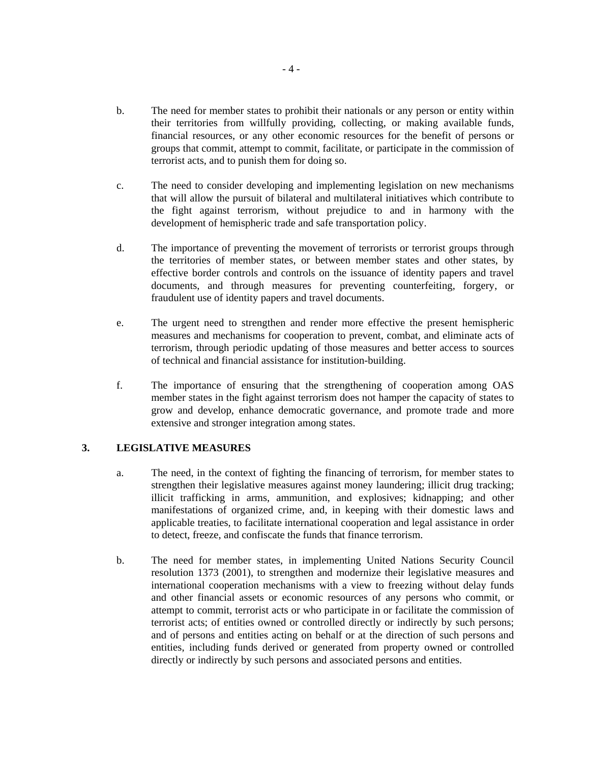- b. The need for member states to prohibit their nationals or any person or entity within their territories from willfully providing, collecting, or making available funds, financial resources, or any other economic resources for the benefit of persons or groups that commit, attempt to commit, facilitate, or participate in the commission of terrorist acts, and to punish them for doing so.
- c. The need to consider developing and implementing legislation on new mechanisms that will allow the pursuit of bilateral and multilateral initiatives which contribute to the fight against terrorism, without prejudice to and in harmony with the development of hemispheric trade and safe transportation policy.
- d. The importance of preventing the movement of terrorists or terrorist groups through the territories of member states, or between member states and other states, by effective border controls and controls on the issuance of identity papers and travel documents, and through measures for preventing counterfeiting, forgery, or fraudulent use of identity papers and travel documents.
- e. The urgent need to strengthen and render more effective the present hemispheric measures and mechanisms for cooperation to prevent, combat, and eliminate acts of terrorism, through periodic updating of those measures and better access to sources of technical and financial assistance for institution-building.
- f. The importance of ensuring that the strengthening of cooperation among OAS member states in the fight against terrorism does not hamper the capacity of states to grow and develop, enhance democratic governance, and promote trade and more extensive and stronger integration among states.

## **3. LEGISLATIVE MEASURES**

- a. The need, in the context of fighting the financing of terrorism, for member states to strengthen their legislative measures against money laundering; illicit drug tracking; illicit trafficking in arms, ammunition, and explosives; kidnapping; and other manifestations of organized crime, and, in keeping with their domestic laws and applicable treaties, to facilitate international cooperation and legal assistance in order to detect, freeze, and confiscate the funds that finance terrorism.
- b. The need for member states, in implementing United Nations Security Council resolution 1373 (2001), to strengthen and modernize their legislative measures and international cooperation mechanisms with a view to freezing without delay funds and other financial assets or economic resources of any persons who commit, or attempt to commit, terrorist acts or who participate in or facilitate the commission of terrorist acts; of entities owned or controlled directly or indirectly by such persons; and of persons and entities acting on behalf or at the direction of such persons and entities, including funds derived or generated from property owned or controlled directly or indirectly by such persons and associated persons and entities.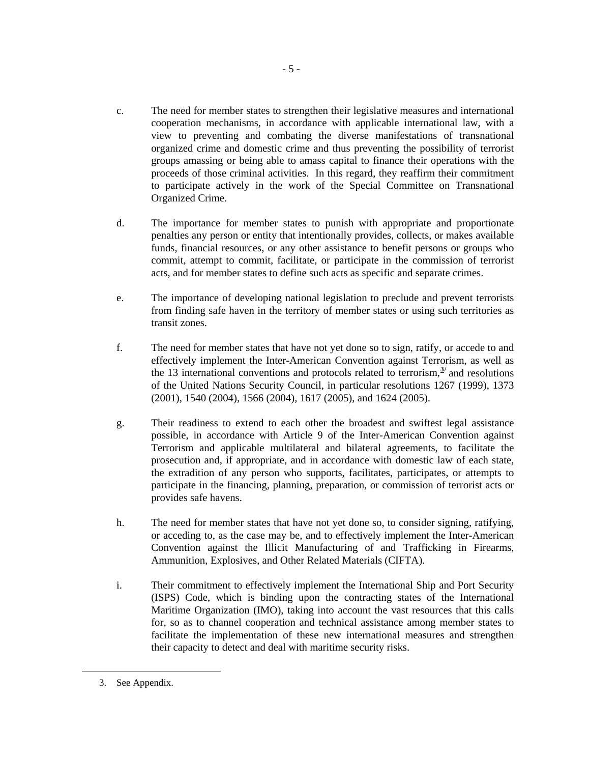- c. The need for member states to strengthen their legislative measures and international cooperation mechanisms, in accordance with applicable international law, with a view to preventing and combating the diverse manifestations of transnational organized crime and domestic crime and thus preventing the possibility of terrorist groups amassing or being able to amass capital to finance their operations with the proceeds of those criminal activities. In this regard, they reaffirm their commitment to participate actively in the work of the Special Committee on Transnational Organized Crime.
- d. The importance for member states to punish with appropriate and proportionate penalties any person or entity that intentionally provides, collects, or makes available funds, financial resources, or any other assistance to benefit persons or groups who commit, attempt to commit, facilitate, or participate in the commission of terrorist acts, and for member states to define such acts as specific and separate crimes.
- e. The importance of developing national legislation to preclude and prevent terrorists from finding safe haven in the territory of member states or using such territories as transit zones.
- f. The need for member states that have not yet done so to sign, ratify, or accede to and effectively implement the Inter-American Convention against Terrorism, as well as the 1[3](#page-5-0) international conventions and protocols related to terrorism, $\frac{3}{2}$  and resolutions of the United Nations Security Council, in particular resolutions 1267 (1999), 1373 (2001), 1540 (2004), 1566 (2004), 1617 (2005), and 1624 (2005).
- g. Their readiness to extend to each other the broadest and swiftest legal assistance possible, in accordance with Article 9 of the Inter-American Convention against Terrorism and applicable multilateral and bilateral agreements, to facilitate the prosecution and, if appropriate, and in accordance with domestic law of each state, the extradition of any person who supports, facilitates, participates, or attempts to participate in the financing, planning, preparation, or commission of terrorist acts or provides safe havens.
- h. The need for member states that have not yet done so, to consider signing, ratifying, or acceding to, as the case may be, and to effectively implement the Inter-American Convention against the Illicit Manufacturing of and Trafficking in Firearms, Ammunition, Explosives, and Other Related Materials (CIFTA).
- i. Their commitment to effectively implement the International Ship and Port Security (ISPS) Code, which is binding upon the contracting states of the International Maritime Organization (IMO), taking into account the vast resources that this calls for, so as to channel cooperation and technical assistance among member states to facilitate the implementation of these new international measures and strengthen their capacity to detect and deal with maritime security risks.

<span id="page-5-0"></span><sup>3.</sup> See Appendix.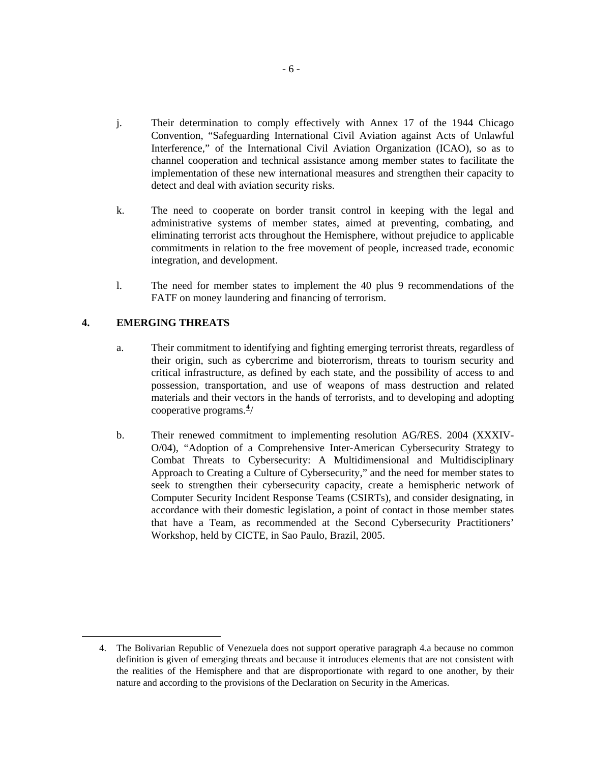- j. Their determination to comply effectively with Annex 17 of the 1944 Chicago Convention, "Safeguarding International Civil Aviation against Acts of Unlawful Interference," of the International Civil Aviation Organization (ICAO), so as to channel cooperation and technical assistance among member states to facilitate the implementation of these new international measures and strengthen their capacity to detect and deal with aviation security risks.
- k. The need to cooperate on border transit control in keeping with the legal and administrative systems of member states, aimed at preventing, combating, and eliminating terrorist acts throughout the Hemisphere, without prejudice to applicable commitments in relation to the free movement of people, increased trade, economic integration, and development.
- l. The need for member states to implement the 40 plus 9 recommendations of the FATF on money laundering and financing of terrorism.

# **4. EMERGING THREATS**

- a. Their commitment to identifying and fighting emerging terrorist threats, regardless of their origin, such as cybercrime and bioterrorism, threats to tourism security and critical infrastructure, as defined by each state, and the possibility of access to and possession, transportation, and use of weapons of mass destruction and related materials and their vectors in the hands of terrorists, and to developing and adopting cooperative programs.**[4](#page-6-0)** /
- b. Their renewed commitment to implementing resolution AG/RES. 2004 (XXXIV-O/04), "Adoption of a Comprehensive Inter-American Cybersecurity Strategy to Combat Threats to Cybersecurity: A Multidimensional and Multidisciplinary Approach to Creating a Culture of Cybersecurity," and the need for member states to seek to strengthen their cybersecurity capacity, create a hemispheric network of Computer Security Incident Response Teams (CSIRTs), and consider designating, in accordance with their domestic legislation, a point of contact in those member states that have a Team, as recommended at the Second Cybersecurity Practitioners' Workshop, held by CICTE, in Sao Paulo, Brazil, 2005.

<span id="page-6-0"></span><sup>4.</sup> The Bolivarian Republic of Venezuela does not support operative paragraph 4.a because no common definition is given of emerging threats and because it introduces elements that are not consistent with the realities of the Hemisphere and that are disproportionate with regard to one another, by their nature and according to the provisions of the Declaration on Security in the Americas.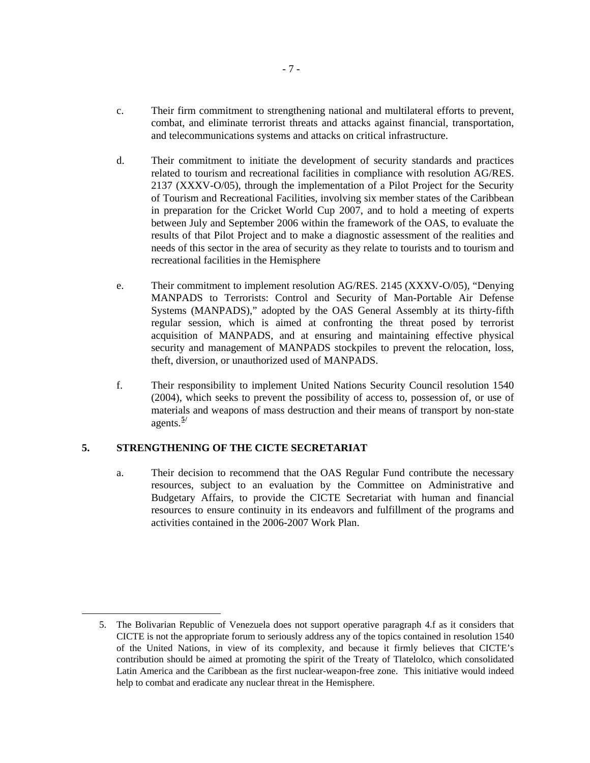- c. Their firm commitment to strengthening national and multilateral efforts to prevent, combat, and eliminate terrorist threats and attacks against financial, transportation, and telecommunications systems and attacks on critical infrastructure.
- d. Their commitment to initiate the development of security standards and practices related to tourism and recreational facilities in compliance with resolution AG/RES. 2137 (XXXV-O/05), through the implementation of a Pilot Project for the Security of Tourism and Recreational Facilities, involving six member states of the Caribbean in preparation for the Cricket World Cup 2007, and to hold a meeting of experts between July and September 2006 within the framework of the OAS, to evaluate the results of that Pilot Project and to make a diagnostic assessment of the realities and needs of this sector in the area of security as they relate to tourists and to tourism and recreational facilities in the Hemisphere
- e. Their commitment to implement resolution AG/RES. 2145 (XXXV-O/05), "Denying MANPADS to Terrorists: Control and Security of Man-Portable Air Defense Systems (MANPADS)," adopted by the OAS General Assembly at its thirty-fifth regular session, which is aimed at confronting the threat posed by terrorist acquisition of MANPADS, and at ensuring and maintaining effective physical security and management of MANPADS stockpiles to prevent the relocation, loss, theft, diversion, or unauthorized used of MANPADS.
- f. Their responsibility to implement United Nations Security Council resolution 1540 (2004), which seeks to prevent the possibility of access to, possession of, or use of materials and weapons of mass destruction and their means of transport by non-state agents.**[5](#page-7-0)/**

## **5. STRENGTHENING OF THE CICTE SECRETARIAT**

<span id="page-7-0"></span>**.** 

a. Their decision to recommend that the OAS Regular Fund contribute the necessary resources, subject to an evaluation by the Committee on Administrative and Budgetary Affairs, to provide the CICTE Secretariat with human and financial resources to ensure continuity in its endeavors and fulfillment of the programs and activities contained in the 2006-2007 Work Plan.

<sup>5.</sup> The Bolivarian Republic of Venezuela does not support operative paragraph 4.f as it considers that CICTE is not the appropriate forum to seriously address any of the topics contained in resolution 1540 of the United Nations, in view of its complexity, and because it firmly believes that CICTE's contribution should be aimed at promoting the spirit of the Treaty of Tlatelolco, which consolidated Latin America and the Caribbean as the first nuclear-weapon-free zone. This initiative would indeed help to combat and eradicate any nuclear threat in the Hemisphere.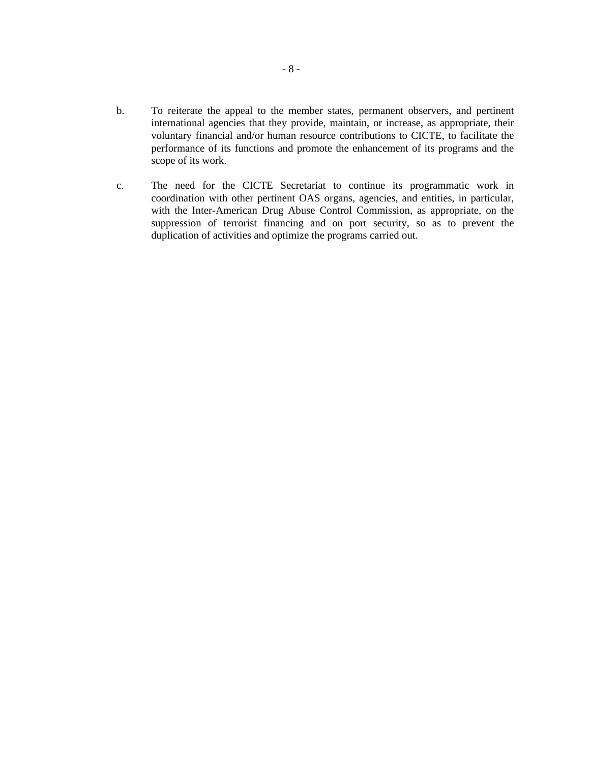- b. To reiterate the appeal to the member states, permanent observers, and pertinent international agencies that they provide, maintain, or increase, as appropriate, their voluntary financial and/or human resource contributions to CICTE, to facilitate the performance of its functions and promote the enhancement of its programs and the scope of its work.
- c. The need for the CICTE Secretariat to continue its programmatic work in coordination with other pertinent OAS organs, agencies, and entities, in particular, with the Inter-American Drug Abuse Control Commission, as appropriate, on the suppression of terrorist financing and on port security, so as to prevent the duplication of activities and optimize the programs carried out.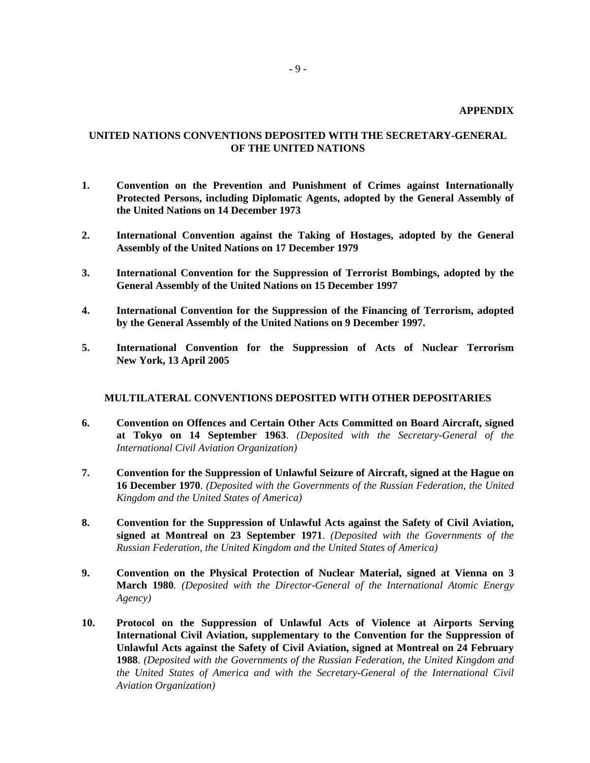# **UNITED NATIONS CONVENTIONS DEPOSITED WITH THE SECRETARY-GENERAL OF THE UNITED NATIONS**

- **1. Convention on the Prevention and Punishment of Crimes against Internationally Protected Persons, including Diplomatic Agents, adopted by the General Assembly of the United Nations on 14 December 1973**
- **2. International Convention against the Taking of Hostages, adopted by the General Assembly of the United Nations on 17 December 1979**
- **3. International Convention for the Suppression of Terrorist Bombings, adopted by the General Assembly of the United Nations on 15 December 1997**
- **4. International Convention for the Suppression of the Financing of Terrorism, adopted by the General Assembly of the United Nations on 9 December 1997.**
- **5. International Convention for the Suppression of Acts of Nuclear Terrorism New York, 13 April 2005**

#### **MULTILATERAL CONVENTIONS DEPOSITED WITH OTHER DEPOSITARIES**

- **6. Convention on Offences and Certain Other Acts Committed on Board Aircraft, signed at Tokyo on 14 September 1963**. *(Deposited with the Secretary-General of the International Civil Aviation Organization)*
- **7. Convention for the Suppression of Unlawful Seizure of Aircraft, signed at the Hague on 16 December 1970**. *(Deposited with the Governments of the Russian Federation, the United Kingdom and the United States of America)*
- **8. Convention for the Suppression of Unlawful Acts against the Safety of Civil Aviation, signed at Montreal on 23 September 1971**. *(Deposited with the Governments of the Russian Federation, the United Kingdom and the United States of America)*
- **9. Convention on the Physical Protection of Nuclear Material, signed at Vienna on 3 March 1980***. (Deposited with the Director-General of the International Atomic Energy Agency)*
- **10. Protocol on the Suppression of Unlawful Acts of Violence at Airports Serving International Civil Aviation, supplementary to the Convention for the Suppression of Unlawful Acts against the Safety of Civil Aviation, signed at Montreal on 24 February 1988**. *(Deposited with the Governments of the Russian Federation, the United Kingdom and the United States of America and with the Secretary-General of the International Civil Aviation Organization)*